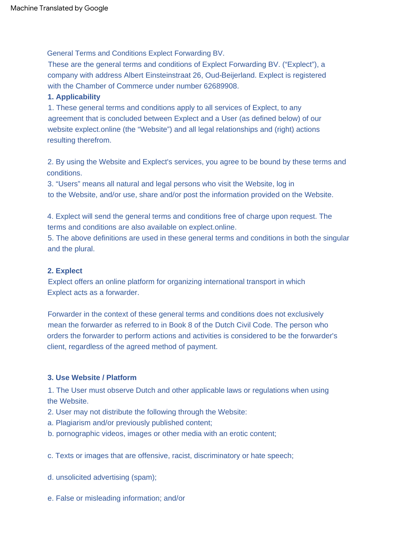General Terms and Conditions Explect Forwarding BV.

These are the general terms and conditions of Explect Forwarding BV. ("Explect"), a company with address Albert Einsteinstraat 26, Oud-Beijerland. Explect is registered with the Chamber of Commerce under number 62689908.

## **1. Applicability**

1. These general terms and conditions apply to all services of Explect, to any agreement that is concluded between Explect and a User (as defined below) of our website explect.online (the "Website") and all legal relationships and (right) actions resulting therefrom.

2. By using the Website and Explect's services, you agree to be bound by these terms and conditions.

3. "Users" means all natural and legal persons who visit the Website, log in to the Website, and/or use, share and/or post the information provided on the Website.

4. Explect will send the general terms and conditions free of charge upon request. The terms and conditions are also available on explect.online.

5. The above definitions are used in these general terms and conditions in both the singular and the plural.

### **2. Explect**

Explect offers an online platform for organizing international transport in which Explect acts as a forwarder.

Forwarder in the context of these general terms and conditions does not exclusively mean the forwarder as referred to in Book 8 of the Dutch Civil Code. The person who orders the forwarder to perform actions and activities is considered to be the forwarder's client, regardless of the agreed method of payment.

## **3. Use Website / Platform**

1. The User must observe Dutch and other applicable laws or regulations when using the Website.

2. User may not distribute the following through the Website:

- a. Plagiarism and/or previously published content;
- b. pornographic videos, images or other media with an erotic content;

c. Texts or images that are offensive, racist, discriminatory or hate speech;

- d. unsolicited advertising (spam);
- e. False or misleading information; and/or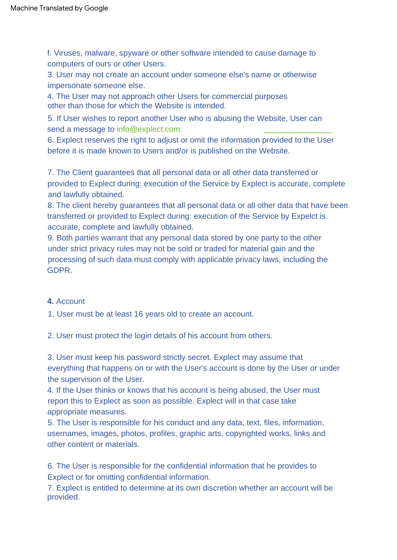f. Viruses, malware, spyware or other software intended to cause damage to computers of ours or other Users.

3. User may not create an account under someone else's name or otherwise impersonate someone else.

4. The User may not approach other Users for commercial purposes other than those for which the Website is intended.

5. If User wishes to report another User who is abusing the Website, User can send a message to [info@explect.com.](mailto:info@explect.com)

6. Explect reserves the right to adjust or omit the information provided to the User before it is made known to Users and/or is published on the Website.

7. The Client guarantees that all personal data or all other data transferred or provided to Explect during: execution of the Service by Explect is accurate, complete and lawfully obtained.

8. The client hereby guarantees that all personal data or all other data that have been transferred or provided to Explect during: execution of the Service by Expelct is accurate, complete and lawfully obtained.

9. Both parties warrant that any personal data stored by one party to the other under strict privacy rules may not be sold or traded for material gain and the processing of such data must comply with applicable privacy laws, including the GDPR.

# **4.** Account

1. User must be at least 16 years old to create an account.

2. User must protect the login details of his account from others.

3. User must keep his password strictly secret. Explect may assume that everything that happens on or with the User's account is done by the User or under the supervision of the User.

4. If the User thinks or knows that his account is being abused, the User must report this to Explect as soon as possible. Explect will in that case take appropriate measures.

5. The User is responsible for his conduct and any data, text, files, information, usernames, images, photos, profiles, graphic arts, copyrighted works, links and other content or materials.

6. The User is responsible for the confidential information that he provides to Explect or for omitting confidential information.

7. Explect is entitled to determine at its own discretion whether an account will be provided.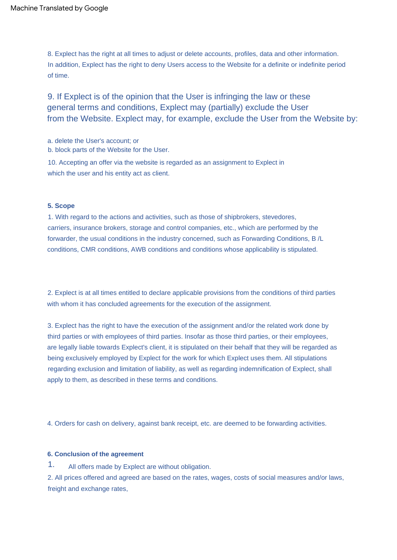8. Explect has the right at all times to adjust or delete accounts, profiles, data and other information. In addition, Explect has the right to deny Users access to the Website for a definite or indefinite period of time.

9. If Explect is of the opinion that the User is infringing the law or these general terms and conditions, Explect may (partially) exclude the User from the Website. Explect may, for example, exclude the User from the Website by:

a. delete the User's account; or

b. block parts of the Website for the User.

10. Accepting an offer via the website is regarded as an assignment to Explect in which the user and his entity act as client.

#### **5. Scope**

1. With regard to the actions and activities, such as those of shipbrokers, stevedores, carriers, insurance brokers, storage and control companies, etc., which are performed by the forwarder, the usual conditions in the industry concerned, such as Forwarding Conditions, B /L conditions, CMR conditions, AWB conditions and conditions whose applicability is stipulated.

2. Explect is at all times entitled to declare applicable provisions from the conditions of third parties with whom it has concluded agreements for the execution of the assignment.

3. Explect has the right to have the execution of the assignment and/or the related work done by third parties or with employees of third parties. Insofar as those third parties, or their employees, are legally liable towards Explect's client, it is stipulated on their behalf that they will be regarded as being exclusively employed by Explect for the work for which Explect uses them. All stipulations regarding exclusion and limitation of liability, as well as regarding indemnification of Explect, shall apply to them, as described in these terms and conditions.

4. Orders for cash on delivery, against bank receipt, etc. are deemed to be forwarding activities.

#### **6. Conclusion of the agreement**

All offers made by Explect are without obligation. 1.

2. All prices offered and agreed are based on the rates, wages, costs of social measures and/or laws, freight and exchange rates,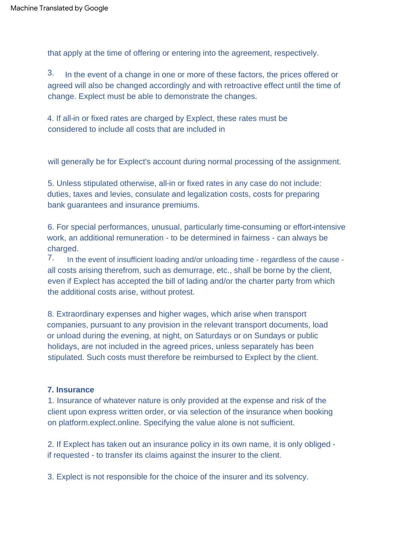that apply at the time of offering or entering into the agreement, respectively.

In the event of a change in one or more of these factors, the prices offered or agreed will also be changed accordingly and with retroactive effect until the time of change. Explect must be able to demonstrate the changes. 3.

4. If all-in or fixed rates are charged by Explect, these rates must be considered to include all costs that are included in

will generally be for Explect's account during normal processing of the assignment.

5. Unless stipulated otherwise, all-in or fixed rates in any case do not include: duties, taxes and levies, consulate and legalization costs, costs for preparing bank guarantees and insurance premiums.

6. For special performances, unusual, particularly time-consuming or effort-intensive work, an additional remuneration - to be determined in fairness - can always be charged.

7. In the event of insufficient loading and/or unloading time - regardless of the cause all costs arising therefrom, such as demurrage, etc., shall be borne by the client, even if Explect has accepted the bill of lading and/or the charter party from which the additional costs arise, without protest.

8. Extraordinary expenses and higher wages, which arise when transport companies, pursuant to any provision in the relevant transport documents, load or unload during the evening, at night, on Saturdays or on Sundays or public holidays, are not included in the agreed prices, unless separately has been stipulated. Such costs must therefore be reimbursed to Explect by the client.

## **7. Insurance**

1. Insurance of whatever nature is only provided at the expense and risk of the client upon express written order, or via selection of the insurance when booking on platform.explect.online. Specifying the value alone is not sufficient.

2. If Explect has taken out an insurance policy in its own name, it is only obliged if requested - to transfer its claims against the insurer to the client.

3. Explect is not responsible for the choice of the insurer and its solvency.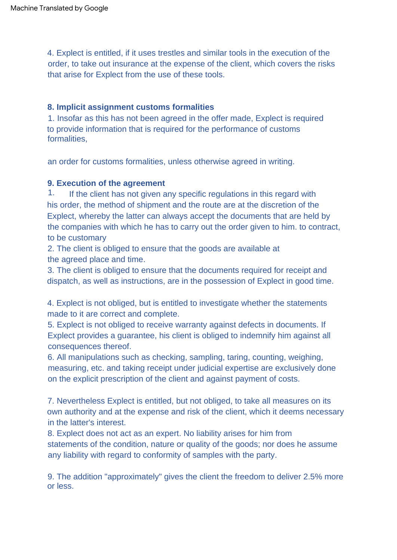4. Explect is entitled, if it uses trestles and similar tools in the execution of the order, to take out insurance at the expense of the client, which covers the risks that arise for Explect from the use of these tools.

# **8. Implicit assignment customs formalities**

1. Insofar as this has not been agreed in the offer made, Explect is required to provide information that is required for the performance of customs formalities,

an order for customs formalities, unless otherwise agreed in writing.

# **9. Execution of the agreement**

1. If the client has not given any specific regulations in this regard with his order, the method of shipment and the route are at the discretion of the Explect, whereby the latter can always accept the documents that are held by the companies with which he has to carry out the order given to him. to contract, to be customary

2. The client is obliged to ensure that the goods are available at the agreed place and time.

3. The client is obliged to ensure that the documents required for receipt and dispatch, as well as instructions, are in the possession of Explect in good time.

4. Explect is not obliged, but is entitled to investigate whether the statements made to it are correct and complete.

5. Explect is not obliged to receive warranty against defects in documents. If Explect provides a guarantee, his client is obliged to indemnify him against all consequences thereof.

6. All manipulations such as checking, sampling, taring, counting, weighing, measuring, etc. and taking receipt under judicial expertise are exclusively done on the explicit prescription of the client and against payment of costs.

7. Nevertheless Explect is entitled, but not obliged, to take all measures on its own authority and at the expense and risk of the client, which it deems necessary in the latter's interest.

8. Explect does not act as an expert. No liability arises for him from statements of the condition, nature or quality of the goods; nor does he assume any liability with regard to conformity of samples with the party.

9. The addition "approximately" gives the client the freedom to deliver 2.5% more or less.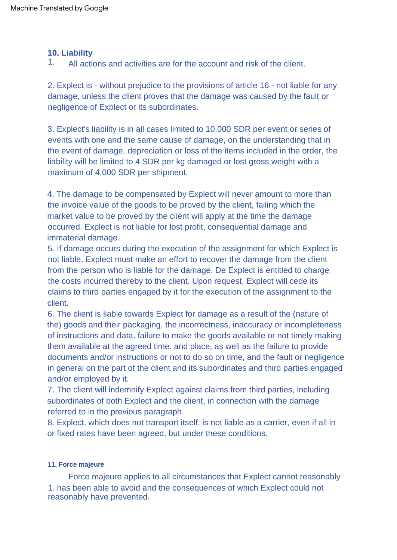# **10. Liability**

All actions and activities are for the account and risk of the client. 1.

2. Explect is - without prejudice to the provisions of article 16 - not liable for any damage, unless the client proves that the damage was caused by the fault or negligence of Explect or its subordinates.

3. Explect's liability is in all cases limited to 10,000 SDR per event or series of events with one and the same cause of damage, on the understanding that in the event of damage, depreciation or loss of the items included in the order, the liability will be limited to 4 SDR per kg damaged or lost gross weight with a maximum of 4,000 SDR per shipment.

4. The damage to be compensated by Explect will never amount to more than the invoice value of the goods to be proved by the client, failing which the market value to be proved by the client will apply at the time the damage occurred. Explect is not liable for lost profit, consequential damage and immaterial damage.

5. If damage occurs during the execution of the assignment for which Explect is not liable, Explect must make an effort to recover the damage from the client from the person who is liable for the damage. De Explect is entitled to charge the costs incurred thereby to the client. Upon request, Explect will cede its claims to third parties engaged by it for the execution of the assignment to the client.

6. The client is liable towards Explect for damage as a result of the (nature of the) goods and their packaging, the incorrectness, inaccuracy or incompleteness of instructions and data, failure to make the goods available or not timely making them available at the agreed time. and place, as well as the failure to provide documents and/or instructions or not to do so on time, and the fault or negligence in general on the part of the client and its subordinates and third parties engaged and/or employed by it.

7. The client will indemnify Explect against claims from third parties, including subordinates of both Explect and the client, in connection with the damage referred to in the previous paragraph.

8. Explect, which does not transport itself, is not liable as a carrier, even if all-in or fixed rates have been agreed, but under these conditions.

#### **11. Force majeure**

Force majeure applies to all circumstances that Explect cannot reasonably 1. has been able to avoid and the consequences of which Explect could not reasonably have prevented.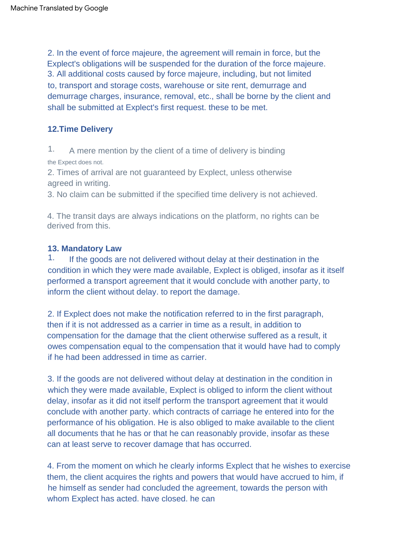2. In the event of force majeure, the agreement will remain in force, but the Explect's obligations will be suspended for the duration of the force majeure. 3. All additional costs caused by force majeure, including, but not limited to, transport and storage costs, warehouse or site rent, demurrage and demurrage charges, insurance, removal, etc., shall be borne by the client and shall be submitted at Explect's first request. these to be met.

# **12.Time Delivery**

A mere mention by the client of a time of delivery is binding the Expect does not. 1.

2. Times of arrival are not guaranteed by Explect, unless otherwise agreed in writing.

3. No claim can be submitted if the specified time delivery is not achieved.

4. The transit days are always indications on the platform, no rights can be derived from this.

# **13. Mandatory Law**

If the goods are not delivered without delay at their destination in the condition in which they were made available, Explect is obliged, insofar as it itself performed a transport agreement that it would conclude with another party, to inform the client without delay. to report the damage. 1.

2. If Explect does not make the notification referred to in the first paragraph, then if it is not addressed as a carrier in time as a result, in addition to compensation for the damage that the client otherwise suffered as a result, it owes compensation equal to the compensation that it would have had to comply if he had been addressed in time as carrier.

3. If the goods are not delivered without delay at destination in the condition in which they were made available, Explect is obliged to inform the client without delay, insofar as it did not itself perform the transport agreement that it would conclude with another party. which contracts of carriage he entered into for the performance of his obligation. He is also obliged to make available to the client all documents that he has or that he can reasonably provide, insofar as these can at least serve to recover damage that has occurred.

4. From the moment on which he clearly informs Explect that he wishes to exercise them, the client acquires the rights and powers that would have accrued to him, if he himself as sender had concluded the agreement, towards the person with whom Explect has acted. have closed. he can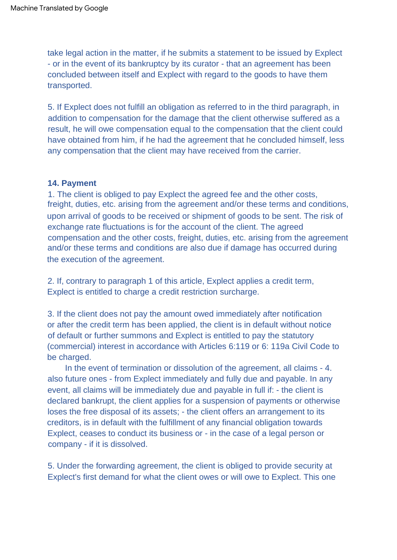take legal action in the matter, if he submits a statement to be issued by Explect - or in the event of its bankruptcy by its curator - that an agreement has been concluded between itself and Explect with regard to the goods to have them transported.

5. If Explect does not fulfill an obligation as referred to in the third paragraph, in addition to compensation for the damage that the client otherwise suffered as a result, he will owe compensation equal to the compensation that the client could have obtained from him, if he had the agreement that he concluded himself, less any compensation that the client may have received from the carrier.

### **14. Payment**

1. The client is obliged to pay Explect the agreed fee and the other costs, freight, duties, etc. arising from the agreement and/or these terms and conditions, upon arrival of goods to be received or shipment of goods to be sent. The risk of exchange rate fluctuations is for the account of the client. The agreed compensation and the other costs, freight, duties, etc. arising from the agreement and/or these terms and conditions are also due if damage has occurred during the execution of the agreement.

2. If, contrary to paragraph 1 of this article, Explect applies a credit term, Explect is entitled to charge a credit restriction surcharge.

3. If the client does not pay the amount owed immediately after notification or after the credit term has been applied, the client is in default without notice of default or further summons and Explect is entitled to pay the statutory (commercial) interest in accordance with Articles 6:119 or 6: 119a Civil Code to be charged.

In the event of termination or dissolution of the agreement, all claims - 4. also future ones - from Explect immediately and fully due and payable. In any event, all claims will be immediately due and payable in full if: - the client is declared bankrupt, the client applies for a suspension of payments or otherwise loses the free disposal of its assets; - the client offers an arrangement to its creditors, is in default with the fulfillment of any financial obligation towards Explect, ceases to conduct its business or - in the case of a legal person or company - if it is dissolved.

5. Under the forwarding agreement, the client is obliged to provide security at Explect's first demand for what the client owes or will owe to Explect. This one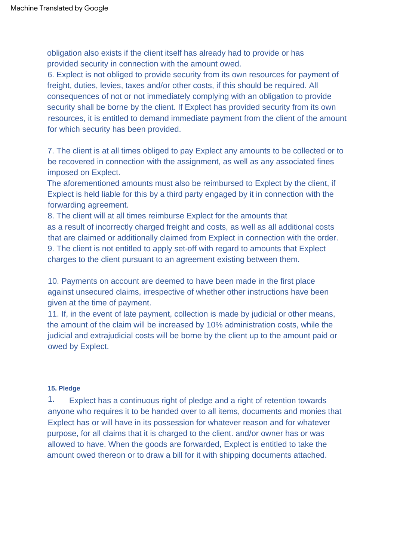obligation also exists if the client itself has already had to provide or has provided security in connection with the amount owed.

6. Explect is not obliged to provide security from its own resources for payment of freight, duties, levies, taxes and/or other costs, if this should be required. All consequences of not or not immediately complying with an obligation to provide security shall be borne by the client. If Explect has provided security from its own resources, it is entitled to demand immediate payment from the client of the amount for which security has been provided.

7. The client is at all times obliged to pay Explect any amounts to be collected or to be recovered in connection with the assignment, as well as any associated fines imposed on Explect.

The aforementioned amounts must also be reimbursed to Explect by the client, if Explect is held liable for this by a third party engaged by it in connection with the forwarding agreement.

as a result of incorrectly charged freight and costs, as well as all additional costs that are claimed or additionally claimed from Explect in connection with the order. 8. The client will at all times reimburse Explect for the amounts that 9. The client is not entitled to apply set-off with regard to amounts that Explect charges to the client pursuant to an agreement existing between them.

10. Payments on account are deemed to have been made in the first place against unsecured claims, irrespective of whether other instructions have been given at the time of payment.

11. If, in the event of late payment, collection is made by judicial or other means, the amount of the claim will be increased by 10% administration costs, while the judicial and extrajudicial costs will be borne by the client up to the amount paid or owed by Explect.

#### **15. Pledge**

1. Explect has a continuous right of pledge and a right of retention towards anyone who requires it to be handed over to all items, documents and monies that Explect has or will have in its possession for whatever reason and for whatever purpose, for all claims that it is charged to the client. and/or owner has or was allowed to have. When the goods are forwarded, Explect is entitled to take the amount owed thereon or to draw a bill for it with shipping documents attached.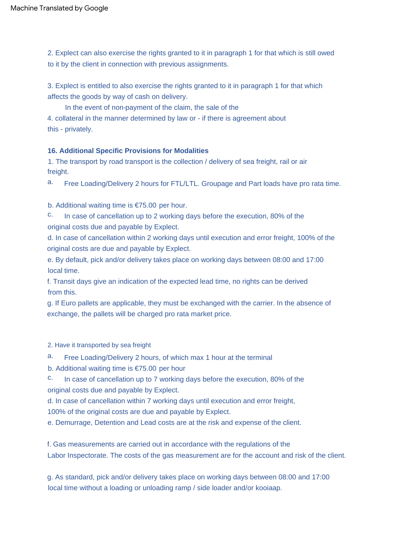2. Explect can also exercise the rights granted to it in paragraph 1 for that which is still owed to it by the client in connection with previous assignments.

3. Explect is entitled to also exercise the rights granted to it in paragraph 1 for that which affects the goods by way of cash on delivery.

In the event of non-payment of the claim, the sale of the

4. collateral in the manner determined by law or - if there is agreement about this - privately.

#### **16. Additional Specific Provisions for Modalities**

1. The transport by road transport is the collection / delivery of sea freight, rail or air freight.

a. Free Loading/Delivery 2 hours for FTL/LTL. Groupage and Part loads have pro rata time.

b. Additional waiting time is €75.00 per hour.

original costs due and payable by Explect. In case of cancellation up to 2 working days before the execution, 80% of the c.

d. In case of cancellation within 2 working days until execution and error freight, 100% of the original costs are due and payable by Explect.

e. By default, pick and/or delivery takes place on working days between 08:00 and 17:00 local time.

f. Transit days give an indication of the expected lead time, no rights can be derived from this.

g. If Euro pallets are applicable, they must be exchanged with the carrier. In the absence of exchange, the pallets will be charged pro rata market price.

2. Have it transported by sea freight

a. Free Loading/Delivery 2 hours, of which max 1 hour at the terminal

b. Additional waiting time is €75.00 per hour

c. original costs due and payable by Explect. In case of cancellation up to 7 working days before the execution, 80% of the

d. In case of cancellation within 7 working days until execution and error freight,

100% of the original costs are due and payable by Explect.

e. Demurrage, Detention and Lead costs are at the risk and expense of the client.

f. Gas measurements are carried out in accordance with the regulations of the Labor Inspectorate. The costs of the gas measurement are for the account and risk of the client.

g. As standard, pick and/or delivery takes place on working days between 08:00 and 17:00 local time without a loading or unloading ramp / side loader and/or kooiaap.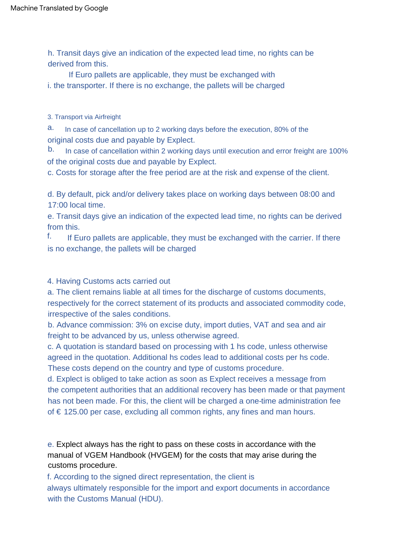h. Transit days give an indication of the expected lead time, no rights can be derived from this.

If Euro pallets are applicable, they must be exchanged with i. the transporter. If there is no exchange, the pallets will be charged

3. Transport via Airfreight

a. In case of cancellation up to 2 working days before the execution, 80% of the original costs due and payable by Explect.

of the original costs due and payable by Explect. b. In case of cancellation within 2 working days until execution and error freight are 100%

c. Costs for storage after the free period are at the risk and expense of the client.

d. By default, pick and/or delivery takes place on working days between 08:00 and 17:00 local time.

e. Transit days give an indication of the expected lead time, no rights can be derived from this.

If Euro pallets are applicable, they must be exchanged with the carrier. If there is no exchange, the pallets will be charged f.

4. Having Customs acts carried out

a. The client remains liable at all times for the discharge of customs documents, respectively for the correct statement of its products and associated commodity code, irrespective of the sales conditions.

b. Advance commission: 3% on excise duty, import duties, VAT and sea and air freight to be advanced by us, unless otherwise agreed.

c. A quotation is standard based on processing with 1 hs code, unless otherwise agreed in the quotation. Additional hs codes lead to additional costs per hs code. These costs depend on the country and type of customs procedure.

d. Explect is obliged to take action as soon as Explect receives a message from the competent authorities that an additional recovery has been made or that payment has not been made. For this, the client will be charged a one-time administration fee of € 125.00 per case, excluding all common rights, any fines and man hours.

e. Explect always has the right to pass on these costs in accordance with the manual of VGEM Handbook (HVGEM) for the costs that may arise during the customs procedure.

f. According to the signed direct representation, the client is always ultimately responsible for the import and export documents in accordance with the Customs Manual (HDU).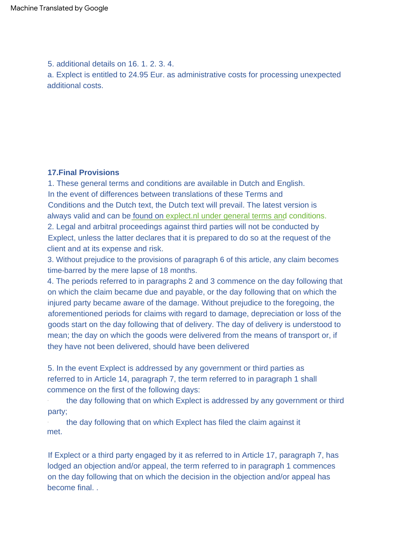5. additional details on 16. 1. 2. 3. 4.

a. Explect is entitled to 24.95 Eur. as administrative costs for processing unexpected additional costs.

### **17.Final Provisions**

1. These general terms and conditions are available in Dutch and English. 2. Legal and arbitral proceedings against third parties will not be conducted by Explect, unless the latter declares that it is prepared to do so at the request of the client and at its expense and risk. In the event of differences between translations of these Terms and Conditions and the Dutch text, the Dutch text will prevail. The latest version is always valid and can be found on [explect.nl under general terms and conditions.](https://www.explect.nl/terms-en-conditions)

3. Without prejudice to the provisions of paragraph 6 of this article, any claim becomes time-barred by the mere lapse of 18 months.

4. The periods referred to in paragraphs 2 and 3 commence on the day following that on which the claim became due and payable, or the day following that on which the injured party became aware of the damage. Without prejudice to the foregoing, the aforementioned periods for claims with regard to damage, depreciation or loss of the goods start on the day following that of delivery. The day of delivery is understood to mean; the day on which the goods were delivered from the means of transport or, if they have not been delivered, should have been delivered

5. In the event Explect is addressed by any government or third parties as referred to in Article 14, paragraph 7, the term referred to in paragraph 1 shall commence on the first of the following days:

the day following that on which Explect is addressed by any government or third party;

the day following that on which Explect has filed the claim against it met.

If Explect or a third party engaged by it as referred to in Article 17, paragraph 7, has lodged an objection and/or appeal, the term referred to in paragraph 1 commences on the day following that on which the decision in the objection and/or appeal has become final. .